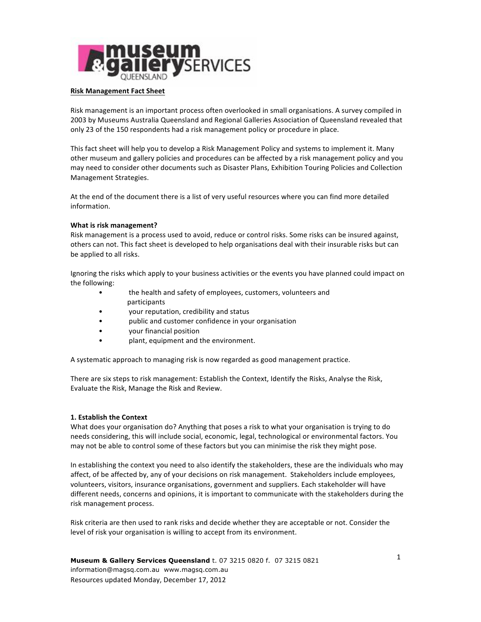

### **Risk Management Fact Sheet**

Risk management is an important process often overlooked in small organisations. A survey compiled in 2003 by Museums Australia Queensland and Regional Galleries Association of Queensland revealed that only 23 of the 150 respondents had a risk management policy or procedure in place.

This fact sheet will help you to develop a Risk Management Policy and systems to implement it. Many other museum and gallery policies and procedures can be affected by a risk management policy and you may need to consider other documents such as Disaster Plans, Exhibition Touring Policies and Collection Management Strategies.

At the end of the document there is a list of very useful resources where you can find more detailed information. 

## **What is risk management?**

Risk management is a process used to avoid, reduce or control risks. Some risks can be insured against, others can not. This fact sheet is developed to help organisations deal with their insurable risks but can be applied to all risks.

Ignoring the risks which apply to your business activities or the events you have planned could impact on the following:

- the health and safety of employees, customers, volunteers and participants
- your reputation, credibility and status
- public and customer confidence in your organisation
- vour financial position
- plant, equipment and the environment.

A systematic approach to managing risk is now regarded as good management practice.

There are six steps to risk management: Establish the Context, Identify the Risks, Analyse the Risk, Evaluate the Risk, Manage the Risk and Review.

# **1. Establish the Context**

What does your organisation do? Anything that poses a risk to what your organisation is trying to do needs considering, this will include social, economic, legal, technological or environmental factors. You may not be able to control some of these factors but you can minimise the risk they might pose.

In establishing the context you need to also identify the stakeholders, these are the individuals who may affect, of be affected by, any of your decisions on risk management. Stakeholders include employees, volunteers, visitors, insurance organisations, government and suppliers. Each stakeholder will have different needs, concerns and opinions, it is important to communicate with the stakeholders during the risk management process.

Risk criteria are then used to rank risks and decide whether they are acceptable or not. Consider the level of risk your organisation is willing to accept from its environment.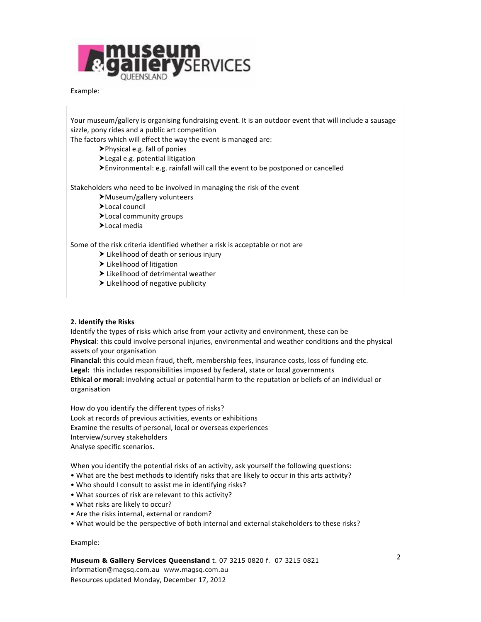

### Example:

Your museum/gallery is organising fundraising event. It is an outdoor event that will include a sausage sizzle, pony rides and a public art competition

The factors which will effect the way the event is managed are:

 $\blacktriangleright$  Physical e.g. fall of ponies

 $\blacktriangleright$  Legal e.g. potential litigation

Environmental: e.g. rainfall will call the event to be postponed or cancelled

Stakeholders who need to be involved in managing the risk of the event

- ▶ Museum/gallery volunteers
- >Local council
- >Local community groups
- >Local media

Some of the risk criteria identified whether a risk is acceptable or not are

- $\blacktriangleright$  Likelihood of death or serious injury
- $\blacktriangleright$  Likelihood of litigation
- $\blacktriangleright$  Likelihood of detrimental weather
- $\blacktriangleright$  Likelihood of negative publicity

### **2. Identify the Risks**

Identify the types of risks which arise from your activity and environment, these can be Physical: this could involve personal injuries, environmental and weather conditions and the physical assets of your organisation

**Financial:** this could mean fraud, theft, membership fees, insurance costs, loss of funding etc. Legal: this includes responsibilities imposed by federal, state or local governments

Ethical or moral: involving actual or potential harm to the reputation or beliefs of an individual or organisation

How do you identify the different types of risks? Look at records of previous activities, events or exhibitions Examine the results of personal, local or overseas experiences Interview/survey stakeholders Analyse specific scenarios.

When you identify the potential risks of an activity, ask yourself the following questions:

- What are the best methods to identify risks that are likely to occur in this arts activity?
- Who should I consult to assist me in identifying risks?
- What sources of risk are relevant to this activity?
- What risks are likely to occur?
- Are the risks internal, external or random?
- What would be the perspective of both internal and external stakeholders to these risks?

Example: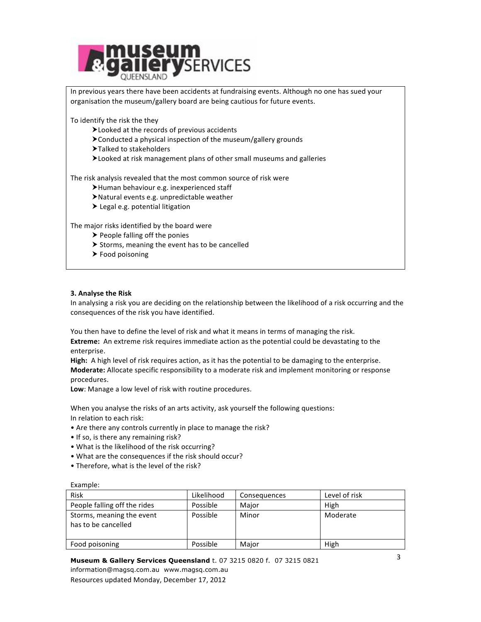

In previous years there have been accidents at fundraising events. Although no one has sued your organisation the museum/gallery board are being cautious for future events.

To identify the risk the they

- $\blacktriangleright$  Looked at the records of previous accidents
- $\blacktriangleright$  Conducted a physical inspection of the museum/gallery grounds
- $\blacktriangleright$  Talked to stakeholders
- Eooked at risk management plans of other small museums and galleries

The risk analysis revealed that the most common source of risk were

- $\blacktriangleright$ Human behaviour e.g. inexperienced staff
- $\blacktriangleright$  Natural events e.g. unpredictable weather
- $\blacktriangleright$  Legal e.g. potential litigation

The major risks identified by the board were

- $\blacktriangleright$  People falling off the ponies
- $\triangleright$  Storms, meaning the event has to be cancelled
- $\blacktriangleright$  Food poisoning

## **3. Analyse the Risk**

In analysing a risk you are deciding on the relationship between the likelihood of a risk occurring and the consequences of the risk you have identified.

You then have to define the level of risk and what it means in terms of managing the risk.

**Extreme:** An extreme risk requires immediate action as the potential could be devastating to the enterprise.

**High:** A high level of risk requires action, as it has the potential to be damaging to the enterprise. **Moderate:** Allocate specific responsibility to a moderate risk and implement monitoring or response procedures.

Low: Manage a low level of risk with routine procedures.

When you analyse the risks of an arts activity, ask yourself the following questions: In relation to each risk:

- Are there any controls currently in place to manage the risk?
- If so, is there any remaining risk?
- What is the likelihood of the risk occurring?
- What are the consequences if the risk should occur?
- Therefore, what is the level of the risk?

| Example: |  |
|----------|--|

| <b>Risk</b>                                      | Likelihood | Consequences | Level of risk |
|--------------------------------------------------|------------|--------------|---------------|
| People falling off the rides                     | Possible   | Major        | High          |
| Storms, meaning the event<br>has to be cancelled | Possible   | Minor        | Moderate      |
| Food poisoning                                   | Possible   | Maior        | High          |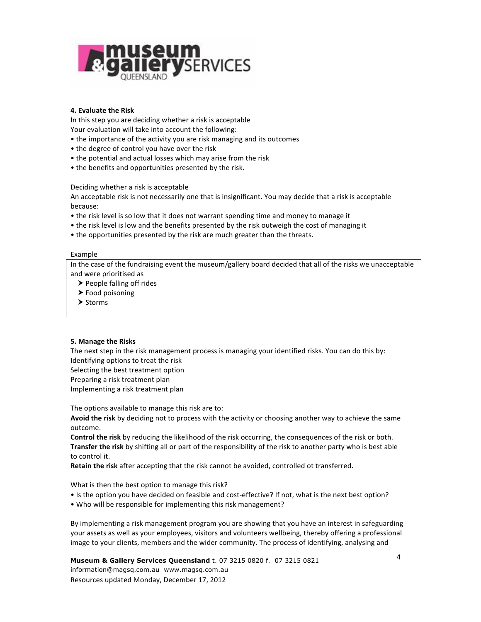

## **4. Evaluate the Risk**

In this step you are deciding whether a risk is acceptable Your evaluation will take into account the following:

- the importance of the activity you are risk managing and its outcomes
- the degree of control you have over the risk
- the potential and actual losses which may arise from the risk
- the benefits and opportunities presented by the risk.

Deciding whether a risk is acceptable

An acceptable risk is not necessarily one that is insignificant. You may decide that a risk is acceptable because:

- the risk level is so low that it does not warrant spending time and money to manage it
- the risk level is low and the benefits presented by the risk outweigh the cost of managing it
- the opportunities presented by the risk are much greater than the threats.

#### Example

In the case of the fundraising event the museum/gallery board decided that all of the risks we unacceptable and were prioritised as

- $\triangleright$  People falling off rides
- $\blacktriangleright$  Food poisoning
- $\blacktriangleright$  Storms

# **5. Manage the Risks**

The next step in the risk management process is managing your identified risks. You can do this by: Identifying options to treat the risk

Selecting the best treatment option Preparing a risk treatment plan

Implementing a risk treatment plan

The options available to manage this risk are to:

Avoid the risk by deciding not to process with the activity or choosing another way to achieve the same outcome.

**Control the risk** by reducing the likelihood of the risk occurring, the consequences of the risk or both. **Transfer the risk** by shifting all or part of the responsibility of the risk to another party who is best able to control it.

Retain the risk after accepting that the risk cannot be avoided, controlled ot transferred.

What is then the best option to manage this risk?

- Is the option you have decided on feasible and cost-effective? If not, what is the next best option?
- Who will be responsible for implementing this risk management?

By implementing a risk management program you are showing that you have an interest in safeguarding your assets as well as your employees, visitors and volunteers wellbeing, thereby offering a professional image to your clients, members and the wider community. The process of identifying, analysing and